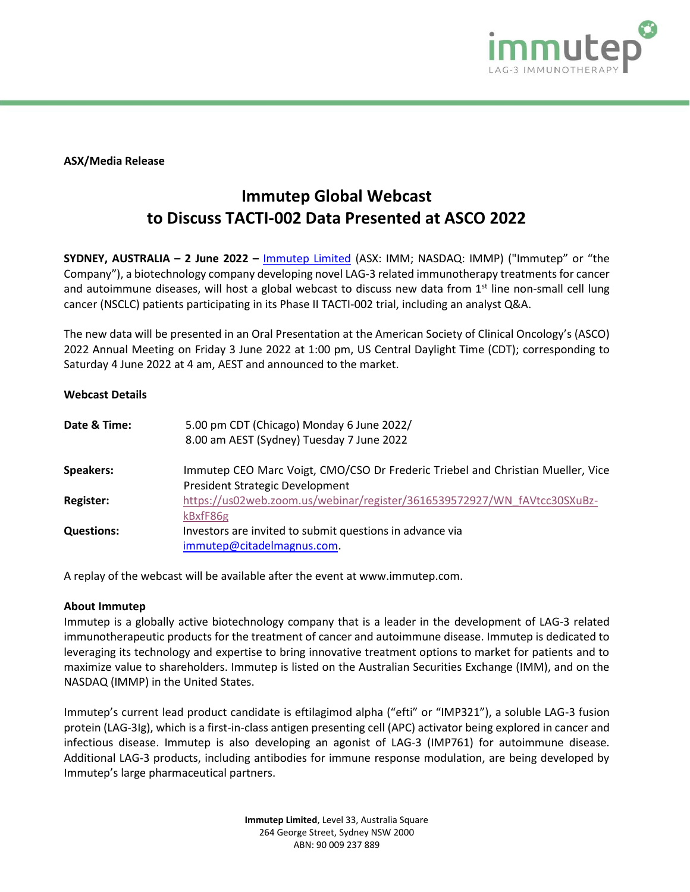

**ASX/Media Release**

## **Immutep Global Webcast to Discuss TACTI-002 Data Presented at ASCO 2022**

**SYDNEY, AUSTRALIA – 2 June 2022 –** [Immutep Limited](about:blank) (ASX: IMM; NASDAQ: IMMP) ("Immutep" or "the Company"), a biotechnology company developing novel LAG-3 related immunotherapy treatments for cancer and autoimmune diseases, will host a global webcast to discuss new data from 1<sup>st</sup> line non-small cell lung cancer (NSCLC) patients participating in its Phase II TACTI-002 trial, including an analyst Q&A.

The new data will be presented in an Oral Presentation at the American Society of Clinical Oncology's (ASCO) 2022 Annual Meeting on Friday 3 June 2022 at 1:00 pm, US Central Daylight Time (CDT); corresponding to Saturday 4 June 2022 at 4 am, AEST and announced to the market.

## **Webcast Details**

| 5.00 pm CDT (Chicago) Monday 6 June 2022/<br>8.00 am AEST (Sydney) Tuesday 7 June 2022                             |
|--------------------------------------------------------------------------------------------------------------------|
| Immutep CEO Marc Voigt, CMO/CSO Dr Frederic Triebel and Christian Mueller, Vice<br>President Strategic Development |
| https://us02web.zoom.us/webinar/register/3616539572927/WN fAVtcc30SXuBz-                                           |
| kBxfF86g<br>Investors are invited to submit questions in advance via<br>immutep@citadelmagnus.com.                 |
|                                                                                                                    |

A replay of the webcast will be available after the event at www.immutep.com.

## **About Immutep**

Immutep is a globally active biotechnology company that is a leader in the development of LAG-3 related immunotherapeutic products for the treatment of cancer and autoimmune disease. Immutep is dedicated to leveraging its technology and expertise to bring innovative treatment options to market for patients and to maximize value to shareholders. Immutep is listed on the Australian Securities Exchange (IMM), and on the NASDAQ (IMMP) in the United States.

Immutep's current lead product candidate is eftilagimod alpha ("efti" or "IMP321"), a soluble LAG-3 fusion protein (LAG-3Ig), which is a first-in-class antigen presenting cell (APC) activator being explored in cancer and infectious disease. Immutep is also developing an agonist of LAG-3 (IMP761) for autoimmune disease. Additional LAG-3 products, including antibodies for immune response modulation, are being developed by Immutep's large pharmaceutical partners.

> **Immutep Limited**, Level 33, Australia Square 264 George Street, Sydney NSW 2000 ABN: 90 009 237 889